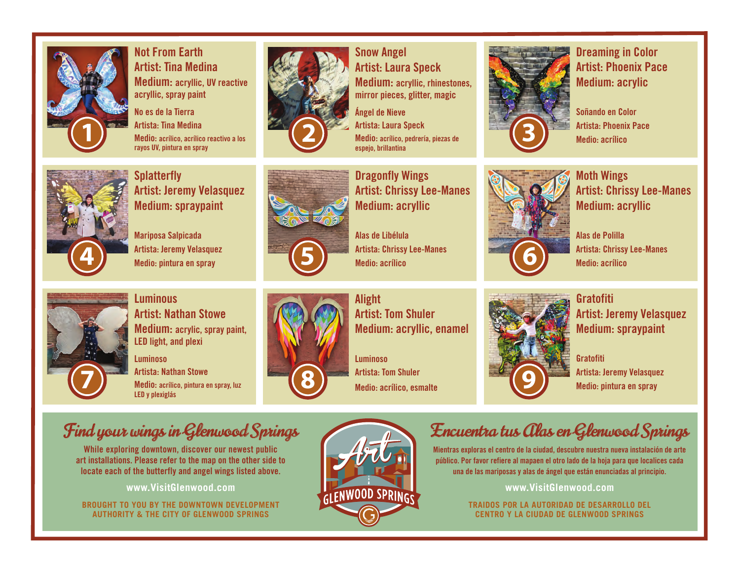

**Not From Earth Artist: Tina Medina Medium: acryllic, UV reactive acryllic, spray paint**

**No es de la Tierra Artista: Tina Medina Medio: acrílico, acrílico reactivo a los rayos UV, pintura en spray** 



**Snow Angel Artist: Laura Speck Medium: acryllic, rhinestones, mirror pieces, glitter, magic**

**Ángel de Nieve Artista: Laura Speck 2 3 Artista:** Laura Speck<br> **Medio:** acrílico, pedrería, piezas de **2 3 espejo, brillantina**



**Splatterfly Artist: Jeremy Velasquez Medium: spraypaint**

**Mariposa Salpicada Artista: Jeremy Velasquez Medio: pintura en spray** 



**Dragonfly Wings Artist: Chrissy Lee-Manes Medium: acryllic**

**Alas de Libélula Artista: Chrissy Lee-Manes 5 Medio: acrílico**

Artista: Jeremy Velasquez Martista: Chrissy Lee-Manes Medio: pintura en spray **66 antista: Chrissy Lee-Manes** 

**Alight Artist: Tom Shuler Medium: acryllic, enamel**

**Luminoso Artista: Tom Shuler**



**Dreaming in Color Artist: Phoenix Pace Medium: acrylic**

**Soñando en Color Artista: Phoenix Pace Medio: acrílico**



**Moth Wings Artist: Chrissy Lee-Manes Medium: acryllic**

**Alas de Polilla Artista: Chrissy Lee-Manes Medio: acrílico**



**Luminous Artist: Nathan Stowe Medium: acrylic, spray paint, LED light, and plexi**

**Luminoso Artista: Nathan Stowe Medio: acrílico, pintura en spray, luz 7 8 LED y plexiglás**



**Medio: acrílico, esmalte** 



**Gratofiti Artist: Jeremy Velasquez Medium: spraypaint**

**Gratofiti Artista: Jeremy Velasquez Medio: pintura en spray** 

## Find your wings in Glenwood Springs

**While exploring downtown, discover our newest public art installations. Please refer to the map on the other side to locate each of the butterfly and angel wings listed above.**

**www.VisitGlenwood.com**

**BROUGHT TO YOU BY THE DOWNTOWN DEVELOPMENT AUTHORITY & THE CITY OF GLENWOOD SPRINGS**



## Encuentra tus Alas en Glenwood Springs

**Mientras exploras el centro de la ciudad, descubre nuestra nueva instalación de arte público. Por favor refiere al mapaen el otro lado de la hoja para que localices cada una de las mariposas y alas de ángel que están enunciadas al principio.**

**www.VisitGlenwood.com**

**TRAIDOS POR LA AUTORIDAD DE DESARROLLO DEL CENTRO Y LA CIUDAD DE GLENWOOD SPRINGS**